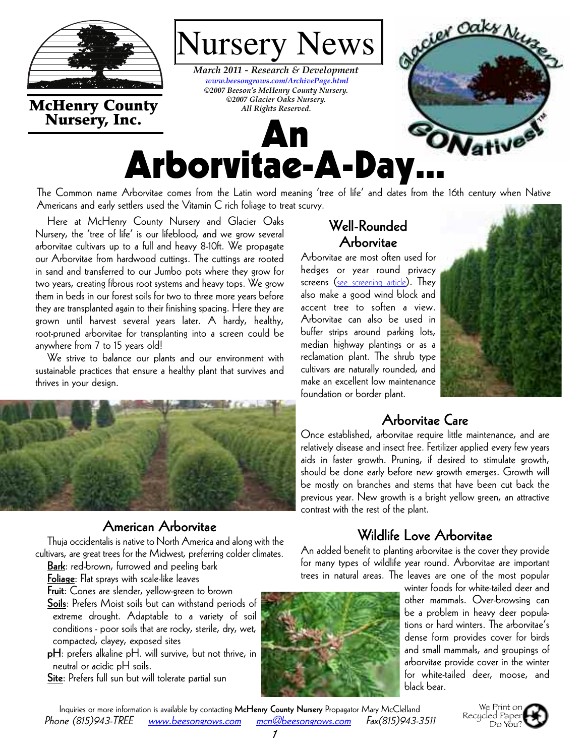

**McHenry County Nursery, Inc.**

#### *March 2011 - Research & Development [www.beesongrows.com/ArchivePage.html](http://www.beesongrows.com/ArchivePage.html) ©2007 Beeson's McHenry County Nursery. ©2007 Glacier Oaks Nursery. All Rights Reserved.*

**An**

Nursery News



The Common name Arborvitae comes from the Latin word meaning 'tree of life' and dates from the 16th century when Native Americans and early settlers used the Vitamin C rich foliage to treat scurvy.

Here at McHenry County Nursery and Glacier Oaks Nursery, the 'tree of life' is our lifeblood, and we grow several arborvitae cultivars up to a full and heavy 8-10ft. We propagate our Arborvitae from hardwood cuttings. The cuttings are rooted in sand and transferred to our Jumbo pots where they grow for two years, creating fibrous root systems and heavy tops. We grow them in beds in our forest soils for two to three more years before they are transplanted again to their finishing spacing. Here they are grown until harvest several years later. A hardy, healthy, root-pruned arborvitae for transplanting into a screen could be anywhere from 7 to 15 years old!

We strive to balance our plants and our environment with sustainable practices that ensure a healthy plant that survives and thrives in your design.



### **American Arborvitae**

Thuja occidentalis is native to North America and along with the cultivars, are great trees for the Midwest, preferring colder climates.

**Bark**: red-brown, furrowed and peeling bark

**Foliage**: Flat sprays with scale-like leaves

**Fruit**: Cones are slender, yellow-green to brown

**Soils**: Prefers Moist soils but can withstand periods of extreme drought. Adaptable to a variety of soil conditions - poor soils that are rocky, sterile, dry, wet, compacted, clayey, exposed sites

**pH**: prefers alkaline pH. will survive, but not thrive, in neutral or acidic pH soils.

**Site**: Prefers full sun but will tolerate partial sun

# **Well-Rounded Arborvitae**

Arborvitae are most often used for hedges or year round privacy screens ([see screening article](http://www.beesongrows.com/pdfs/0704RD_Screening.pdf)). They also make a good wind block and accent tree to soften a view. Arborvitae can also be used in buffer strips around parking lots, median highway plantings or as a reclamation plant. The shrub type cultivars are naturally rounded, and make an excellent low maintenance foundation or border plant.



# **Arborvitae Care**

Once established, arborvitae require little maintenance, and are relatively disease and insect free. Fertilizer applied every few years aids in faster growth. Pruning, if desired to stimulate growth, should be done early before new growth emerges. Growth will be mostly on branches and stems that have been cut back the previous year. New growth is a bright yellow green, an attractive contrast with the rest of the plant.

## **Wildlife Love Arborvitae**

An added benefit to planting arborvitae is the cover they provide for many types of wildlife year round. Arborvitae are important trees in natural areas. The leaves are one of the most popular

> winter foods for white-tailed deer and other mammals. Over-browsing can be a problem in heavy deer populations or hard winters. The arborvitae's dense form provides cover for birds and small mammals, and groupings of arborvitae provide cover in the winter for white-tailed deer, moose, and black bear.

Inquiries or more information is available by contacting **McHenry County Nursery** Propagator Mary McClelland Phone (815)943-TREE [www.beesongrows.com](http://www.beesongrows.com) [mcn@beesongrows.com](mailto:mcn@beesongrows.com) Fax(815)943-3511